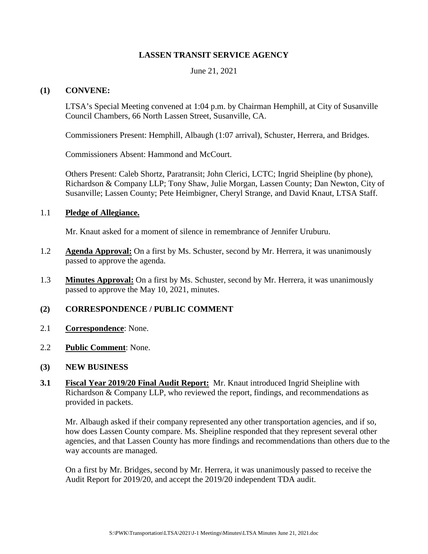## **LASSEN TRANSIT SERVICE AGENCY**

June 21, 2021

### **(1) CONVENE:**

LTSA's Special Meeting convened at 1:04 p.m. by Chairman Hemphill, at City of Susanville Council Chambers, 66 North Lassen Street, Susanville, CA.

Commissioners Present: Hemphill, Albaugh (1:07 arrival), Schuster, Herrera, and Bridges.

Commissioners Absent: Hammond and McCourt.

Others Present: Caleb Shortz, Paratransit; John Clerici, LCTC; Ingrid Sheipline (by phone), Richardson & Company LLP; Tony Shaw, Julie Morgan, Lassen County; Dan Newton, City of Susanville; Lassen County; Pete Heimbigner, Cheryl Strange, and David Knaut, LTSA Staff.

#### 1.1 **Pledge of Allegiance.**

Mr. Knaut asked for a moment of silence in remembrance of Jennifer Uruburu.

- 1.2 **Agenda Approval:** On a first by Ms. Schuster, second by Mr. Herrera, it was unanimously passed to approve the agenda.
- 1.3 **Minutes Approval:** On a first by Ms. Schuster, second by Mr. Herrera, it was unanimously passed to approve the May 10, 2021, minutes.

## **(2) CORRESPONDENCE / PUBLIC COMMENT**

- 2.1 **Correspondence**: None.
- 2.2 **Public Comment**: None.
- **(3) NEW BUSINESS**
- **3.1 Fiscal Year 2019/20 Final Audit Report:** Mr. Knaut introduced Ingrid Sheipline with Richardson & Company LLP, who reviewed the report, findings, and recommendations as provided in packets.

Mr. Albaugh asked if their company represented any other transportation agencies, and if so, how does Lassen County compare. Ms. Sheipline responded that they represent several other agencies, and that Lassen County has more findings and recommendations than others due to the way accounts are managed.

On a first by Mr. Bridges, second by Mr. Herrera, it was unanimously passed to receive the Audit Report for 2019/20, and accept the 2019/20 independent TDA audit.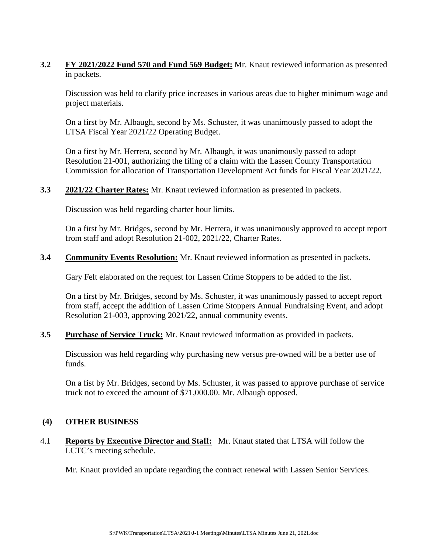**3.2 FY 2021/2022 Fund 570 and Fund 569 Budget:** Mr. Knaut reviewed information as presented in packets.

Discussion was held to clarify price increases in various areas due to higher minimum wage and project materials.

On a first by Mr. Albaugh, second by Ms. Schuster, it was unanimously passed to adopt the LTSA Fiscal Year 2021/22 Operating Budget.

On a first by Mr. Herrera, second by Mr. Albaugh, it was unanimously passed to adopt Resolution 21-001, authorizing the filing of a claim with the Lassen County Transportation Commission for allocation of Transportation Development Act funds for Fiscal Year 2021/22.

**3.3 2021/22 Charter Rates:** Mr. Knaut reviewed information as presented in packets.

Discussion was held regarding charter hour limits.

On a first by Mr. Bridges, second by Mr. Herrera, it was unanimously approved to accept report from staff and adopt Resolution 21-002, 2021/22, Charter Rates.

**3.4 Community Events Resolution:** Mr. Knaut reviewed information as presented in packets.

Gary Felt elaborated on the request for Lassen Crime Stoppers to be added to the list.

On a first by Mr. Bridges, second by Ms. Schuster, it was unanimously passed to accept report from staff, accept the addition of Lassen Crime Stoppers Annual Fundraising Event, and adopt Resolution 21-003, approving 2021/22, annual community events.

**3.5 Purchase of Service Truck:** Mr. Knaut reviewed information as provided in packets.

Discussion was held regarding why purchasing new versus pre-owned will be a better use of funds.

On a fist by Mr. Bridges, second by Ms. Schuster, it was passed to approve purchase of service truck not to exceed the amount of \$71,000.00. Mr. Albaugh opposed.

# **(4) OTHER BUSINESS**

4.1 **Reports by Executive Director and Staff:** Mr. Knaut stated that LTSA will follow the LCTC's meeting schedule.

Mr. Knaut provided an update regarding the contract renewal with Lassen Senior Services.